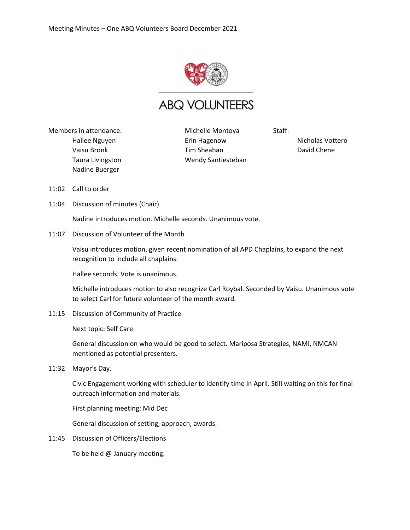

## **ABQ VOLUNTEERS**

Members in attendance: Hallee Nguyen Vaisu Bronk Taura Livingston Nadine Buerger

Michelle Montoya Erin Hagenow Tim Sheahan Wendy Santiesteban Staff:

Nicholas Vottero David Chene

- 11:02 Call to order
- 11:04 Discussion of minutes (Chair)

Nadine introduces motion. Michelle seconds. Unanimous vote.

11:07 Discussion of Volunteer of the Month

Vaisu introduces motion, given recent nomination of all APD Chaplains, to expand the next recognition to include all chaplains.

Hallee seconds. Vote is unanimous.

Michelle introduces motion to also recognize Carl Roybal. Seconded by Vaisu. Unanimous vote to select Carl for future volunteer of the month award.

11:15 Discussion of Community of Practice

Next topic: Self Care

General discussion on who would be good to select. Mariposa Strategies, NAMI, NMCAN mentioned as potential presenters.

11:32 Mayor's Day.

Civic Engagement working with scheduler to identify time in April. Still waiting on this for final outreach information and materials.

First planning meeting: Mid Dec

General discussion of setting, approach, awards.

11:45 Discussion of Officers/Elections

To be held @ January meeting.